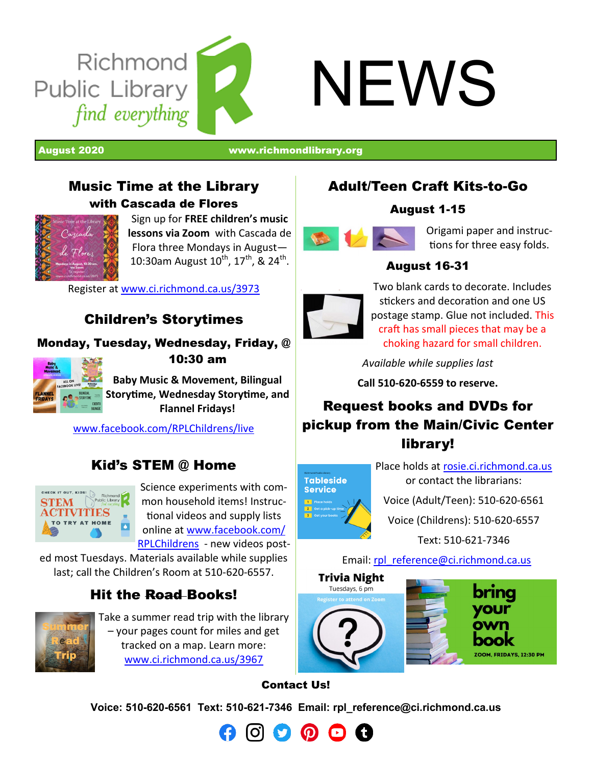

August 2020 [www.richmondlibrary.org](http://www.richmondlibrary.org)

#### Music Time at the Library with Cascada de Flores



Sign up for **FREE children's music lessons via Zoom** with Cascada de Flora three Mondays in August— 10:30am August  $10^{\text{th}}$ ,  $17^{\text{th}}$ , &  $24^{\text{th}}$ .

Register at [www.ci.richmond.ca.us/3973](http://www.ci.richmond.ca.us/3973)

## Children's Storytimes

#### Monday, Tuesday, Wednesday, Friday, @



10:30 am

**Baby Music & Movement, Bilingual Storytime, Wednesday Storytime, and Flannel Fridays!**

[www.facebook.com/RPLChildrens/live](http://www.facebook.com/RPLChildrens/live)

## Kid's STEM @ Home



Science experiments with common household items! Instructional videos and supply lists online at [www.facebook.com/](file:///C:/Users/larsenC/AppData/Local/Microsoft/Windows/Temporary%20Internet%20Files/Content.Outlook/XMZ3IO2U/www.facebook.com/RPLChildrens) [RPLChildrens](file:///C:/Users/larsenC/AppData/Local/Microsoft/Windows/Temporary%20Internet%20Files/Content.Outlook/XMZ3IO2U/www.facebook.com/RPLChildrens) - new videos post-

ed most Tuesdays. Materials available while supplies last; call the Children's Room at 510-620-6557.

## Hit the Road Books!



Take a summer read trip with the library – your pages count for miles and get tracked on a map. Learn more: [www.ci.richmond.ca.us/3967](http://www.ci.richmond.ca.us/3967)

## Adult/Teen Craft Kits-to-Go

#### August 1-15



Origami paper and instructions for three easy folds.

#### August 16-31



Two blank cards to decorate. Includes stickers and decoration and one US postage stamp. Glue not included. This craft has small pieces that may be a choking hazard for small children.

*Available while supplies last*

**Call 510-620-6559 to reserve.**

## Request books and DVDs for pickup from the Main/Civic Center library!



Place holds at [rosie.ci.richmond.ca.us](https://rosie.ci.richmond.ca.us/) or contact the librarians:

Voice (Adult/Teen): 510-620-6561 Voice (Childrens): 510-620-6557

Text: 510-621-7346

Email: [rpl\\_reference@ci.richmond.ca.us](mailto:rpl_reference@ci.richmond.ca.us)



#### Contact Us!

**Voice: 510-620-6561 Text: 510-621-7346 Email: [rpl\\_reference@ci.richmond.ca.us](mailto:rpl_reference@ci.richmond.ca.us)**

 $\boldsymbol{\Omega}$   $\boldsymbol{\Omega}$   $\boldsymbol{\Omega}$   $\boldsymbol{\Omega}$   $\boldsymbol{\Omega}$